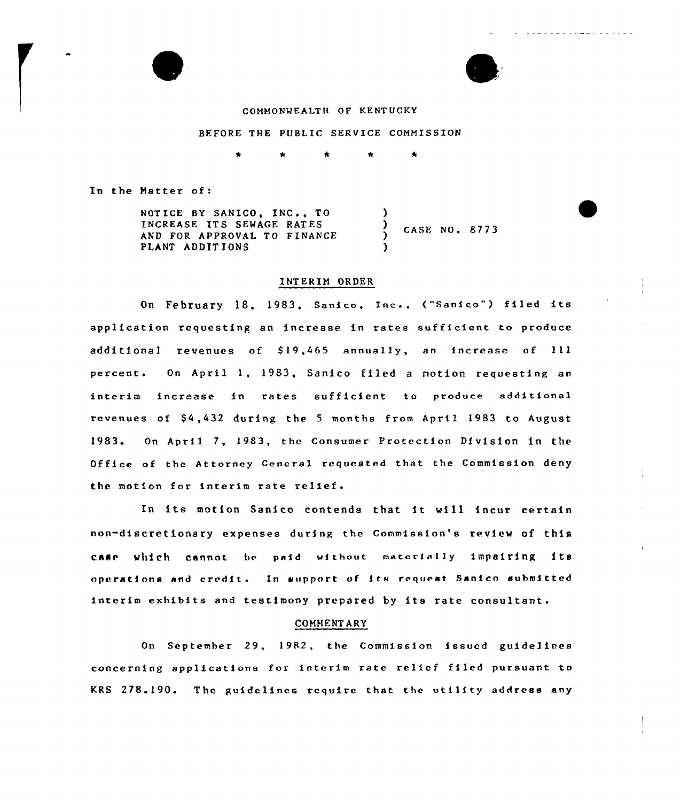

#### COHHONWEALTH OF KENTUCKY

#### BEFORE THE PUBLIC SERVICE COMMISSION

In the Hatter of:

| NOTICE BY SANICO, INC TO                                 |               |  |
|----------------------------------------------------------|---------------|--|
| INCREASE ITS SEWAGE RATES<br>AND FOR APPROVAL TO FINANCE | CASE NO. 8773 |  |
| PLANT ADDITIONS                                          |               |  |

#### INTERIM ORDER

On February 18, 1983, Sanico, Inc., ("Sanico") filed its application requesting an increase in rates sufficient to produce additional revenues of \$19,465 annually, an increase of 111 percent. On April 1, 1983, Sanico filed <sup>a</sup> motion requesting an interim increase in rates sufficient to produce additional revenues of \$4,432 during the 5 months from April 1983 to August 19&3. On April 7, 1983, the Consumer Protection Division in the Office of the Attorney General requested that the Commission deny the motion for interim rate relief.

In its motion Sanico contends that it will incur certain non-discretionary expenses during the Commission's review of this case which cannot be paid without materially impairing its operations and credit. In support of its request Sanico submitted interim exhibits and testimony prepared by its rate consultant.

#### COMMENT ARY

On September 29, 1982, the Commission issued guidelines concerning applications for interim rate relief filed pursuant to KRS 278.190. The guidelines require that the utility address any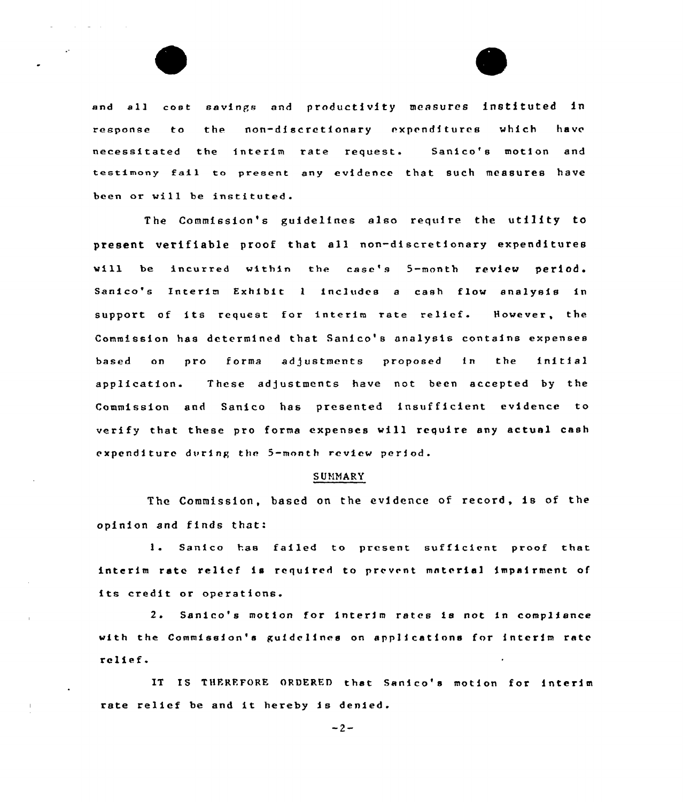



and all cost savinps and productivity measures instituted in response to the non-discretfonary expenditures which have necessitated the interim rate request. Sanico's motion and testimony fall to present any evidence that such measures have been or will be instituted.

The Commission's guidelines also require the utility to ptesent vetifiable proof that all non-discretionary expenditures vill be incurred within the esse's 5-month review periods Sanico's Interim Exhibit <sup>1</sup> fncludes <sup>a</sup> cash flow analysis in support of its request for interim rate relief. However, the Commission has determined that Sanico's analysis contains expenses based on pro forma adjustments proposed in the initial application. These adjustments have not been accepted by the Commission and Sanico has presented insufficient evidence to verify that these pro forma expenses will require any actual cash expenditure during the 5-month review period.

#### SUMMARY

The Commission, based on the evidence of record, is of the opinion and finds that:

Sanfco has failed to present sufficient proof that interim rate relief is required to prevent material impairment of its credit or operations.

<sup>2</sup> <sup>~</sup> Sanico's motion for interim rates fa not in compliance with the Commission'a gufde lfnee on applications for interim rate relief.

IT IS THFRFFORE ORDERED that Sanico's motion for interim rate relief be and it hereby is denied.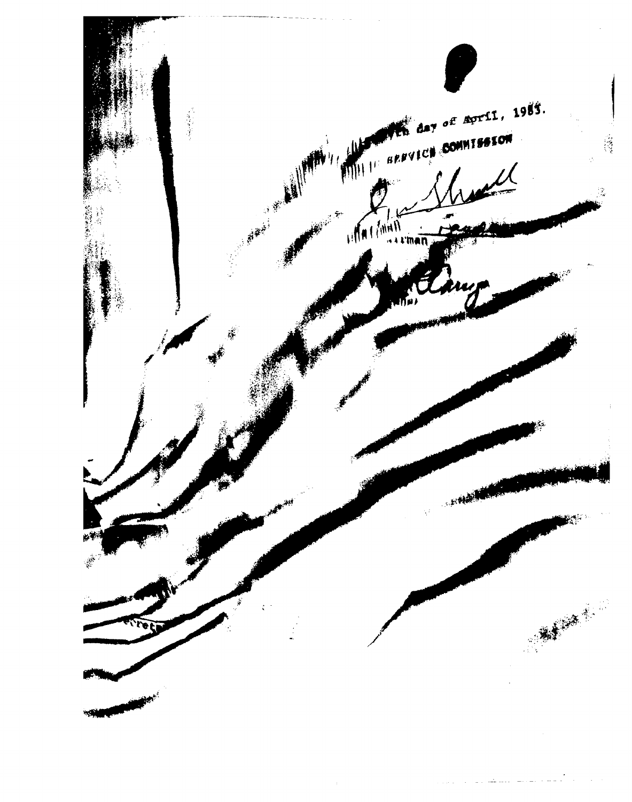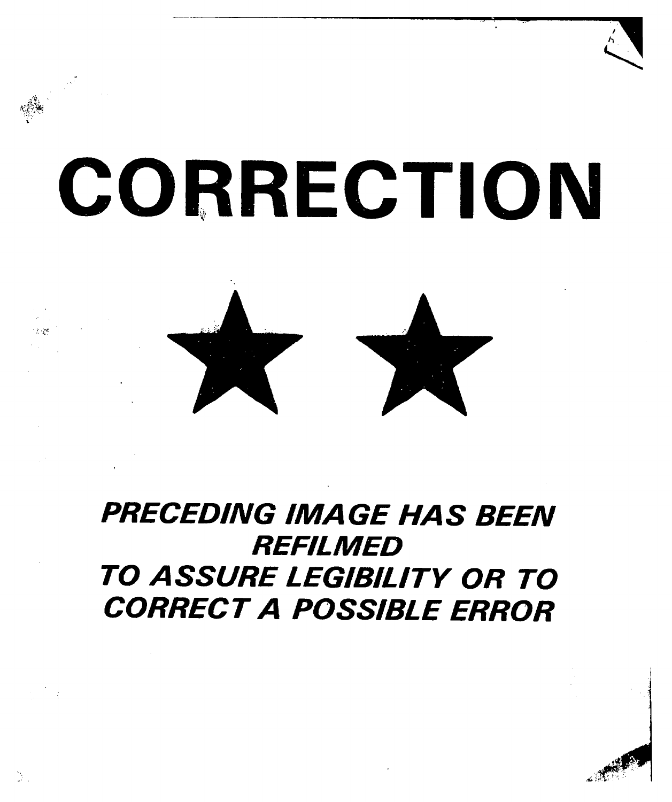# CORRECTION



## PRECEDING IMAGE HAS BEEN **REFILMED** TO ASSURE LEGIBILITY OR TO CORRECT A POSSIBLE ERROR